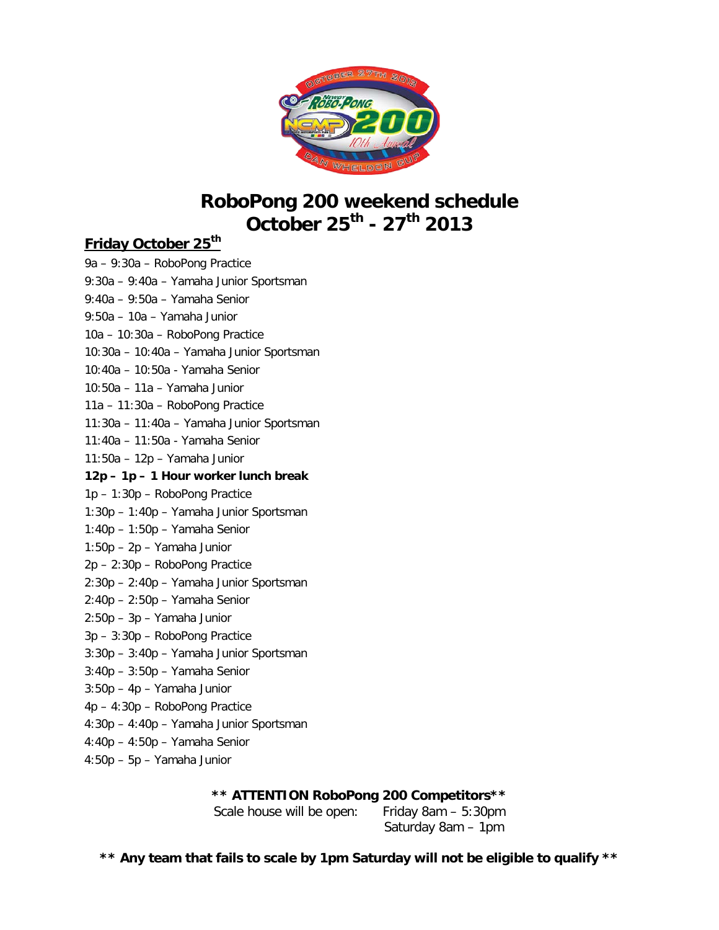

# **RoboPong 200 weekend schedule October 25th - 27th 2013**

#### **Friday October 25th**

9a – 9:30a – RoboPong Practice 9:30a – 9:40a – Yamaha Junior Sportsman 9:40a – 9:50a – Yamaha Senior 9:50a – 10a – Yamaha Junior 10a – 10:30a – RoboPong Practice 10:30a – 10:40a – Yamaha Junior Sportsman 10:40a – 10:50a - Yamaha Senior 10:50a – 11a – Yamaha Junior 11a – 11:30a – RoboPong Practice 11:30a – 11:40a – Yamaha Junior Sportsman 11:40a – 11:50a - Yamaha Senior 11:50a – 12p – Yamaha Junior **12p – 1p – 1 Hour worker lunch break** 1p – 1:30p – RoboPong Practice 1:30p – 1:40p – Yamaha Junior Sportsman 1:40p – 1:50p – Yamaha Senior 1:50p – 2p – Yamaha Junior 2p – 2:30p – RoboPong Practice 2:30p – 2:40p – Yamaha Junior Sportsman 2:40p – 2:50p – Yamaha Senior 2:50p – 3p – Yamaha Junior 3p – 3:30p – RoboPong Practice 3:30p – 3:40p – Yamaha Junior Sportsman 3:40p – 3:50p – Yamaha Senior 3:50p – 4p – Yamaha Junior 4p – 4:30p – RoboPong Practice 4:30p – 4:40p – Yamaha Junior Sportsman 4:40p – 4:50p – Yamaha Senior 4:50p – 5p – Yamaha Junior

**\*\* ATTENTION RoboPong 200 Competitors\*\***

Scale house will be open: Friday 8am – 5:30pm

Saturday 8am – 1pm

**\*\* Any team that fails to scale by 1pm Saturday will not be eligible to qualify \*\***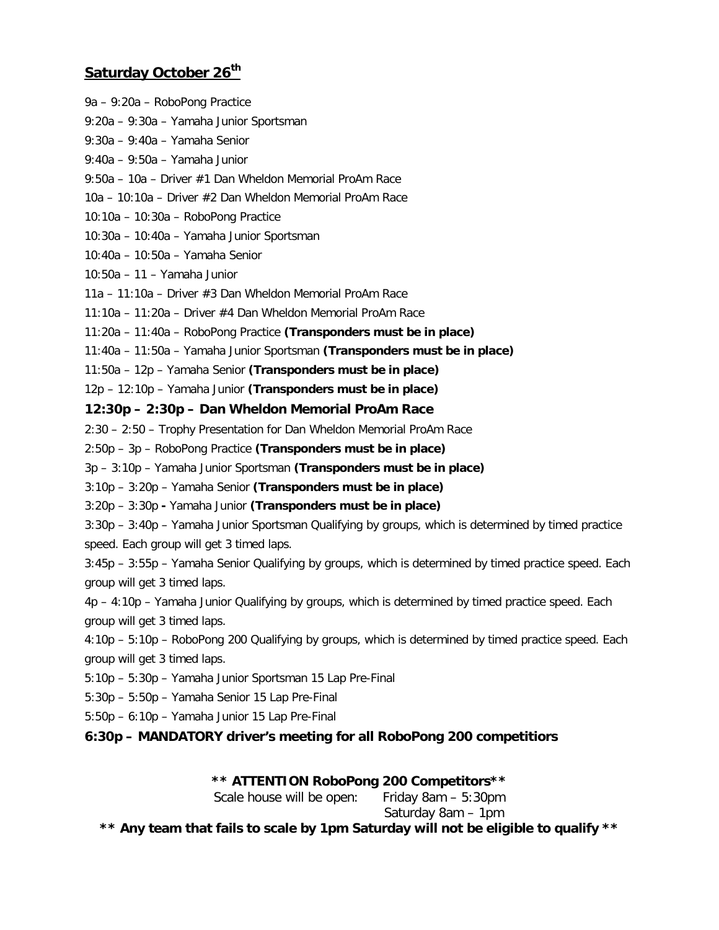#### **Saturday October 26th**

9a – 9:20a – RoboPong Practice

9:20a – 9:30a – Yamaha Junior Sportsman 9:30a – 9:40a – Yamaha Senior 9:40a – 9:50a – Yamaha Junior 9:50a – 10a – Driver #1 Dan Wheldon Memorial ProAm Race 10a – 10:10a – Driver #2 Dan Wheldon Memorial ProAm Race 10:10a – 10:30a – RoboPong Practice 10:30a – 10:40a – Yamaha Junior Sportsman 10:40a – 10:50a – Yamaha Senior 10:50a – 11 – Yamaha Junior 11a – 11:10a – Driver #3 Dan Wheldon Memorial ProAm Race 11:10a – 11:20a – Driver #4 Dan Wheldon Memorial ProAm Race 11:20a – 11:40a – RoboPong Practice **(Transponders must be in place)** 11:40a – 11:50a – Yamaha Junior Sportsman **(Transponders must be in place)** 11:50a – 12p – Yamaha Senior **(Transponders must be in place)** 12p – 12:10p – Yamaha Junior **(Transponders must be in place) 12:30p – 2:30p – Dan Wheldon Memorial ProAm Race** 2:30 – 2:50 – Trophy Presentation for Dan Wheldon Memorial ProAm Race 2:50p – 3p – RoboPong Practice **(Transponders must be in place)** 3p – 3:10p – Yamaha Junior Sportsman **(Transponders must be in place)** 3:10p – 3:20p – Yamaha Senior **(Transponders must be in place)** 3:20p – 3:30p **-** Yamaha Junior **(Transponders must be in place)** 3:30p – 3:40p – Yamaha Junior Sportsman Qualifying by groups, which is determined by timed practice speed. Each group will get 3 timed laps. 3:45p – 3:55p – Yamaha Senior Qualifying by groups, which is determined by timed practice speed. Each group will get 3 timed laps. 4p – 4:10p – Yamaha Junior Qualifying by groups, which is determined by timed practice speed. Each group will get 3 timed laps. 4:10p – 5:10p – RoboPong 200 Qualifying by groups, which is determined by timed practice speed. Each group will get 3 timed laps. 5:10p – 5:30p – Yamaha Junior Sportsman 15 Lap Pre-Final 5:30p – 5:50p – Yamaha Senior 15 Lap Pre-Final 5:50p – 6:10p – Yamaha Junior 15 Lap Pre-Final **6:30p – MANDATORY driver's meeting for all RoboPong 200 competitiors \*\* ATTENTION RoboPong 200 Competitors\*\*** Scale house will be open: Friday 8am – 5:30pm Saturday 8am – 1pm **\*\* Any team that fails to scale by 1pm Saturday will not be eligible to qualify \*\***